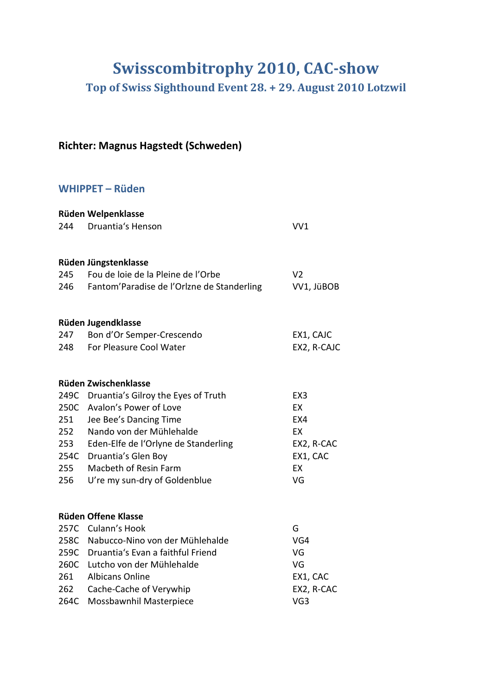# **Swisscombitrophy 2010, CAC-show**

**Top of Swiss Sighthound Event 28. + 29. August 2010 Lotzwil**

## **Richter: Magnus Hagstedt (Schweden)**

## **WHIPPET – Rüden**

|      | Rüden Welpenklasse                         |                 |
|------|--------------------------------------------|-----------------|
| 244  | <b>Druantia's Henson</b>                   | VV1             |
|      |                                            |                 |
|      | Rüden Jüngstenklasse                       |                 |
| 245  | Fou de loie de la Pleine de l'Orbe         | V <sub>2</sub>  |
| 246  | Fantom'Paradise de l'Orlzne de Standerling | VV1, JüBOB      |
|      | Rüden Jugendklasse                         |                 |
| 247  | Bon d'Or Semper-Crescendo                  | EX1, CAJC       |
| 248  | For Pleasure Cool Water                    | EX2, R-CAJC     |
|      | Rüden Zwischenklasse                       |                 |
| 249C | Druantia's Gilroy the Eyes of Truth        | EX <sub>3</sub> |
| 250C | Avalon's Power of Love                     | EX              |
| 251  | Jee Bee's Dancing Time                     | EX4             |
| 252  | Nando von der Mühlehalde                   | EX              |
| 253  | Eden-Elfe de l'Orlyne de Standerling       | EX2, R-CAC      |
| 254C | Druantia's Glen Boy                        | EX1, CAC        |
| 255  | Macbeth of Resin Farm                      | EX              |
| 256  | U're my sun-dry of Goldenblue              | VG              |
|      | Rüden Offene Klasse                        |                 |
|      | 257C Culann's Hook                         | G               |
|      | 258C Nabucco-Nino von der Mühlehalde       | VG4             |
| 259C | Druantia's Evan a faithful Friend          | VG              |
| 260C | Lutcho von der Mühlehalde                  | VG              |
| 261  | <b>Albicans Online</b>                     | EX1, CAC        |
| 262  | Cache-Cache of Verywhip                    | EX2, R-CAC      |
| 264C | Mossbawnhil Masterpiece                    | VG <sub>3</sub> |
|      |                                            |                 |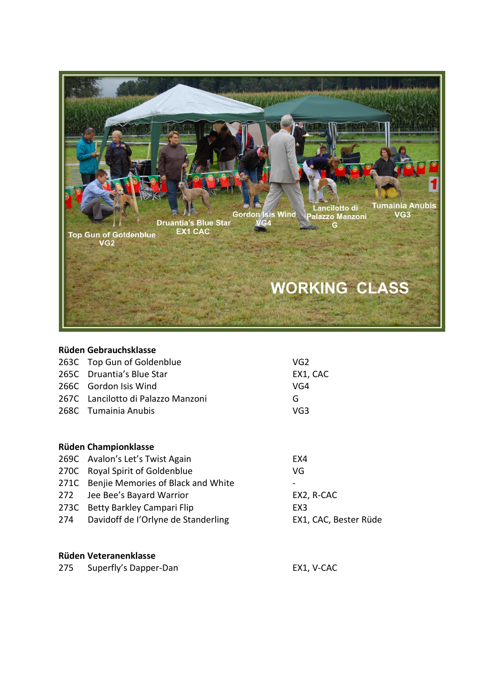

| Rüden Gebrauchsklasse |                                    |                 |  |
|-----------------------|------------------------------------|-----------------|--|
|                       | 263C Top Gun of Goldenblue         | VG <sub>2</sub> |  |
|                       | 265C Druantia's Blue Star          | EX1, CAC        |  |
|                       | 266C Gordon Isis Wind              | VG4             |  |
|                       | 267C Lancilotto di Palazzo Manzoni | G               |  |
|                       | 268C Tumainia Anubis               | VG3             |  |
|                       |                                    |                 |  |
|                       |                                    |                 |  |

| <b>Rüden Championklasse</b> |                                         |                       |  |
|-----------------------------|-----------------------------------------|-----------------------|--|
|                             | 269C Avalon's Let's Twist Again         | EX4                   |  |
|                             | 270C Royal Spirit of Goldenblue         | VG                    |  |
|                             | 271C Benjie Memories of Black and White |                       |  |
|                             | 272 Jee Bee's Bayard Warrior            | EX2, R-CAC            |  |
|                             | 273C Betty Barkley Campari Flip         | EX <sub>3</sub>       |  |
| 274                         | Davidoff de l'Orlyne de Standerling     | EX1, CAC, Bester Rüde |  |

#### **Rüden Veteranenklasse**

| 275 Superfly's Dapper-Dan | EX1, V-CAC |
|---------------------------|------------|
|                           |            |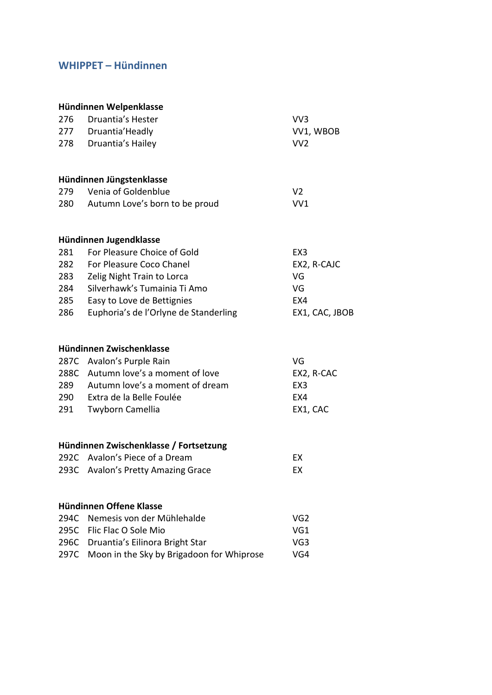## **WHIPPET – Hündinnen**

|      | Hündinnen Welpenklasse                 |                 |
|------|----------------------------------------|-----------------|
| 276  | Druantia's Hester                      | VV <sub>3</sub> |
| 277  | Druantia' Headly                       | VV1, WBOB       |
| 278  | Druantia's Hailey                      | VV <sub>2</sub> |
|      | Hündinnen Jüngstenklasse               |                 |
| 279  | Venia of Goldenblue                    | V <sub>2</sub>  |
| 280  | Autumn Love's born to be proud         | VV <sub>1</sub> |
|      | Hündinnen Jugendklasse                 |                 |
| 281  | For Pleasure Choice of Gold            | EX3             |
| 282  | For Pleasure Coco Chanel               | EX2, R-CAJC     |
| 283  | Zelig Night Train to Lorca             | VG              |
| 284  | Silverhawk's Tumainia Ti Amo           | VG              |
| 285  | Easy to Love de Bettignies             | EX4             |
| 286  | Euphoria's de l'Orlyne de Standerling  | EX1, CAC, JBOB  |
|      | Hündinnen Zwischenklasse               |                 |
|      | 287C Avalon's Purple Rain              | VG              |
| 288C | Autumn love's a moment of love         | EX2, R-CAC      |
| 289  | Autumn love's a moment of dream        | EX <sub>3</sub> |
| 290  | Extra de la Belle Foulée               | EX4             |
| 291  | Twyborn Camellia                       | EX1, CAC        |
|      | Hündinnen Zwischenklasse / Fortsetzung |                 |
|      | 292C Avalon's Piece of a Dream         | EX              |
|      | 293C Avalon's Pretty Amazing Grace     | EX              |
|      | Hündinnen Offene Klasse                |                 |
| 294C | Nemesis von der Mühlehalde             | VG <sub>2</sub> |
| 295C | Flic Flac O Sole Mio                   | VG1             |
| 296C | Druantia's Eilinora Bright Star        | VG3             |

297C Moon in the Sky by Brigadoon for Whiprose VG4